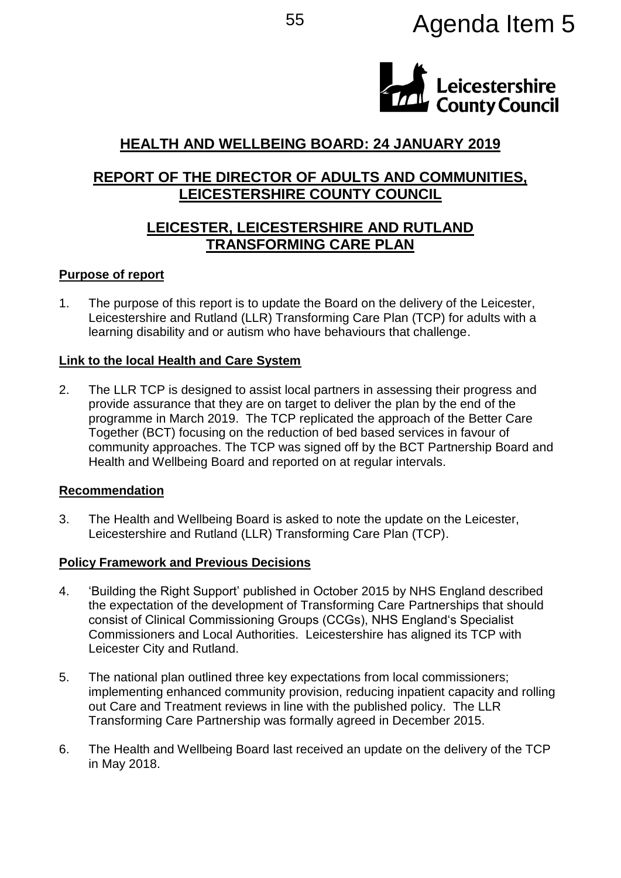# <sup>55</sup> Agenda Item 5



# **HEALTH AND WELLBEING BOARD: 24 JANUARY 2019**

# **REPORT OF THE DIRECTOR OF ADULTS AND COMMUNITIES, LEICESTERSHIRE COUNTY COUNCIL**

# **LEICESTER, LEICESTERSHIRE AND RUTLAND TRANSFORMING CARE PLAN**

### **Purpose of report**

1. The purpose of this report is to update the Board on the delivery of the Leicester, Leicestershire and Rutland (LLR) Transforming Care Plan (TCP) for adults with a learning disability and or autism who have behaviours that challenge.

### **Link to the local Health and Care System**

2. The LLR TCP is designed to assist local partners in assessing their progress and provide assurance that they are on target to deliver the plan by the end of the programme in March 2019. The TCP replicated the approach of the Better Care Together (BCT) focusing on the reduction of bed based services in favour of community approaches. The TCP was signed off by the BCT Partnership Board and Health and Wellbeing Board and reported on at regular intervals.

#### **Recommendation**

3. The Health and Wellbeing Board is asked to note the update on the Leicester, Leicestershire and Rutland (LLR) Transforming Care Plan (TCP).

## **Policy Framework and Previous Decisions**

- 4. 'Building the Right Support' published in October 2015 by NHS England described the expectation of the development of Transforming Care Partnerships that should consist of Clinical Commissioning Groups (CCGs), NHS England's Specialist Commissioners and Local Authorities. Leicestershire has aligned its TCP with Leicester City and Rutland.
- 5. The national plan outlined three key expectations from local commissioners; implementing enhanced community provision, reducing inpatient capacity and rolling out Care and Treatment reviews in line with the published policy. The LLR Transforming Care Partnership was formally agreed in December 2015.
- 6. The Health and Wellbeing Board last received an update on the delivery of the TCP in May 2018.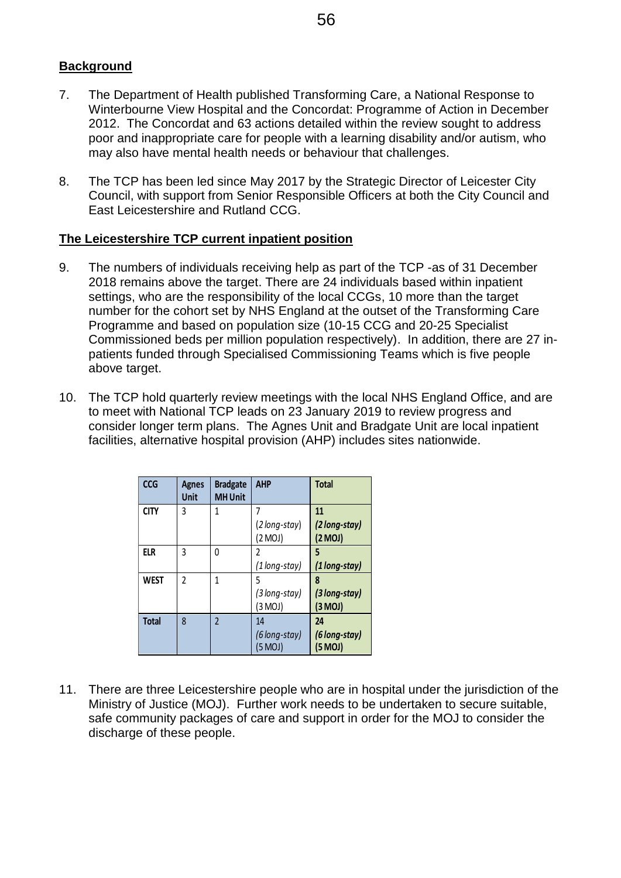### **Background**

- 7. The Department of Health published Transforming Care, a National Response to Winterbourne View Hospital and the Concordat: Programme of Action in December 2012. The Concordat and 63 actions detailed within the review sought to address poor and inappropriate care for people with a learning disability and/or autism, who may also have mental health needs or behaviour that challenges.
- 8. The TCP has been led since May 2017 by the Strategic Director of Leicester City Council, with support from Senior Responsible Officers at both the City Council and East Leicestershire and Rutland CCG.

#### **The Leicestershire TCP current inpatient position**

- 9. The numbers of individuals receiving help as part of the TCP -as of 31 December 2018 remains above the target. There are 24 individuals based within inpatient settings, who are the responsibility of the local CCGs, 10 more than the target number for the cohort set by NHS England at the outset of the Transforming Care Programme and based on population size (10-15 CCG and 20-25 Specialist Commissioned beds per million population respectively). In addition, there are 27 inpatients funded through Specialised Commissioning Teams which is five people above target.
- 10. The TCP hold quarterly review meetings with the local NHS England Office, and are to meet with National TCP leads on 23 January 2019 to review progress and consider longer term plans. The Agnes Unit and Bradgate Unit are local inpatient facilities, alternative hospital provision (AHP) includes sites nationwide.

| <b>CCG</b>   | <b>Agnes</b><br><b>Unit</b> | <b>Bradgate</b><br><b>MH Unit</b> | <b>AHP</b>                     | <b>Total</b>                   |
|--------------|-----------------------------|-----------------------------------|--------------------------------|--------------------------------|
| <b>CITY</b>  | 3                           | 1                                 | (2 long-stay)<br>(2 MOJ)       | 11<br>(2 long-stay)<br>(2 MOJ) |
| ELR          | 3                           | 0                                 | 2<br>(1 long-stay)             | (1 long-stay)                  |
| <b>WEST</b>  | $\overline{2}$              | 1                                 | 5<br>(3 long-stay)<br>(3 MOJ)  | 8<br>(3 long-stay)<br>(3 MOJ)  |
| <b>Total</b> | $\mathsf{\overline{8}}$     | $\overline{2}$                    | 14<br>(6 long-stay)<br>(5 MOJ) | 24<br>(6 long-stay)<br>(5 MOJ) |

11. There are three Leicestershire people who are in hospital under the jurisdiction of the Ministry of Justice (MOJ). Further work needs to be undertaken to secure suitable, safe community packages of care and support in order for the MOJ to consider the discharge of these people.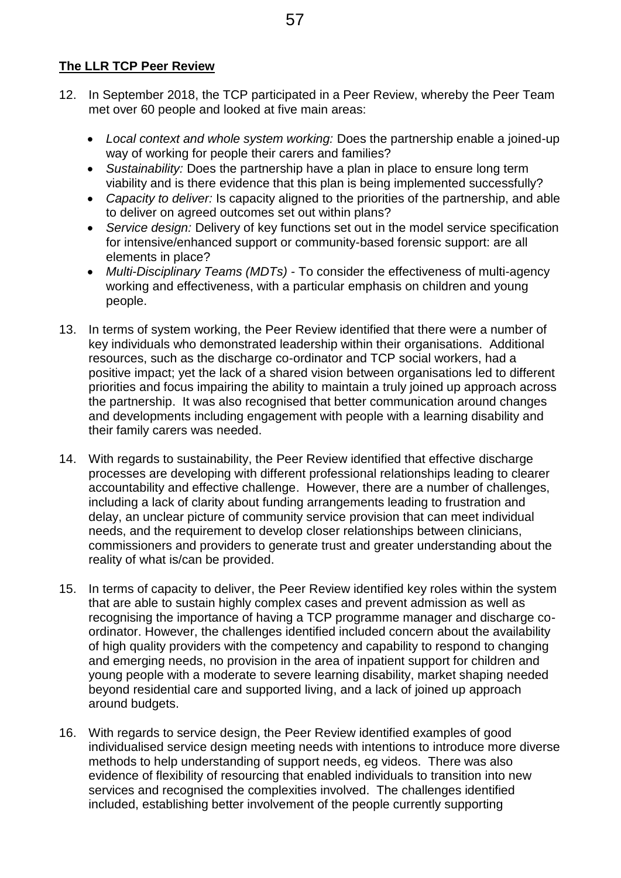## **The LLR TCP Peer Review**

- 12. In September 2018, the TCP participated in a Peer Review, whereby the Peer Team met over 60 people and looked at five main areas:
	- *Local context and whole system working:* Does the partnership enable a joined-up way of working for people their carers and families?
	- *Sustainability:* Does the partnership have a plan in place to ensure long term viability and is there evidence that this plan is being implemented successfully?
	- *Capacity to deliver:* Is capacity aligned to the priorities of the partnership, and able to deliver on agreed outcomes set out within plans?
	- *Service design:* Delivery of key functions set out in the model service specification for intensive/enhanced support or community-based forensic support: are all elements in place?
	- *Multi-Disciplinary Teams (MDTs) -* To consider the effectiveness of multi-agency working and effectiveness, with a particular emphasis on children and young people.
- 13. In terms of system working, the Peer Review identified that there were a number of key individuals who demonstrated leadership within their organisations. Additional resources, such as the discharge co-ordinator and TCP social workers, had a positive impact; yet the lack of a shared vision between organisations led to different priorities and focus impairing the ability to maintain a truly joined up approach across the partnership. It was also recognised that better communication around changes and developments including engagement with people with a learning disability and their family carers was needed.
- 14. With regards to sustainability, the Peer Review identified that effective discharge processes are developing with different professional relationships leading to clearer accountability and effective challenge. However, there are a number of challenges, including a lack of clarity about funding arrangements leading to frustration and delay, an unclear picture of community service provision that can meet individual needs, and the requirement to develop closer relationships between clinicians, commissioners and providers to generate trust and greater understanding about the reality of what is/can be provided.
- 15. In terms of capacity to deliver, the Peer Review identified key roles within the system that are able to sustain highly complex cases and prevent admission as well as recognising the importance of having a TCP programme manager and discharge coordinator. However, the challenges identified included concern about the availability of high quality providers with the competency and capability to respond to changing and emerging needs, no provision in the area of inpatient support for children and young people with a moderate to severe learning disability, market shaping needed beyond residential care and supported living, and a lack of joined up approach around budgets.
- 16. With regards to service design, the Peer Review identified examples of good individualised service design meeting needs with intentions to introduce more diverse methods to help understanding of support needs, eg videos. There was also evidence of flexibility of resourcing that enabled individuals to transition into new services and recognised the complexities involved. The challenges identified included, establishing better involvement of the people currently supporting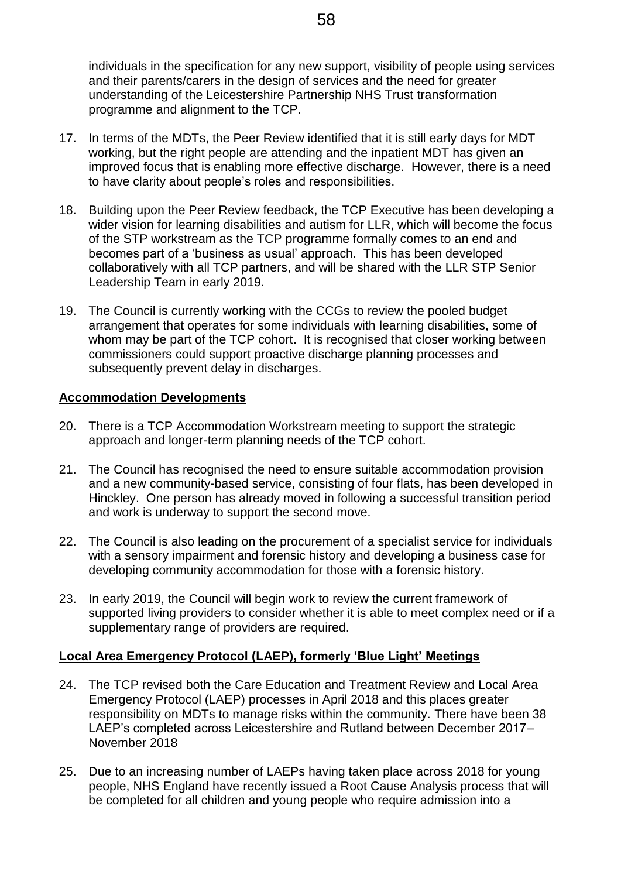individuals in the specification for any new support, visibility of people using services and their parents/carers in the design of services and the need for greater understanding of the Leicestershire Partnership NHS Trust transformation programme and alignment to the TCP.

- 17. In terms of the MDTs, the Peer Review identified that it is still early days for MDT working, but the right people are attending and the inpatient MDT has given an improved focus that is enabling more effective discharge. However, there is a need to have clarity about people's roles and responsibilities.
- 18. Building upon the Peer Review feedback, the TCP Executive has been developing a wider vision for learning disabilities and autism for LLR, which will become the focus of the STP workstream as the TCP programme formally comes to an end and becomes part of a 'business as usual' approach. This has been developed collaboratively with all TCP partners, and will be shared with the LLR STP Senior Leadership Team in early 2019.
- 19. The Council is currently working with the CCGs to review the pooled budget arrangement that operates for some individuals with learning disabilities, some of whom may be part of the TCP cohort. It is recognised that closer working between commissioners could support proactive discharge planning processes and subsequently prevent delay in discharges.

### **Accommodation Developments**

- 20. There is a TCP Accommodation Workstream meeting to support the strategic approach and longer-term planning needs of the TCP cohort.
- 21. The Council has recognised the need to ensure suitable accommodation provision and a new community-based service, consisting of four flats, has been developed in Hinckley. One person has already moved in following a successful transition period and work is underway to support the second move.
- 22. The Council is also leading on the procurement of a specialist service for individuals with a sensory impairment and forensic history and developing a business case for developing community accommodation for those with a forensic history.
- 23. In early 2019, the Council will begin work to review the current framework of supported living providers to consider whether it is able to meet complex need or if a supplementary range of providers are required.

## **Local Area Emergency Protocol (LAEP), formerly 'Blue Light' Meetings**

- 24. The TCP revised both the Care Education and Treatment Review and Local Area Emergency Protocol (LAEP) processes in April 2018 and this places greater responsibility on MDTs to manage risks within the community. There have been 38 LAEP's completed across Leicestershire and Rutland between December 2017– November 2018
- 25. Due to an increasing number of LAEPs having taken place across 2018 for young people, NHS England have recently issued a Root Cause Analysis process that will be completed for all children and young people who require admission into a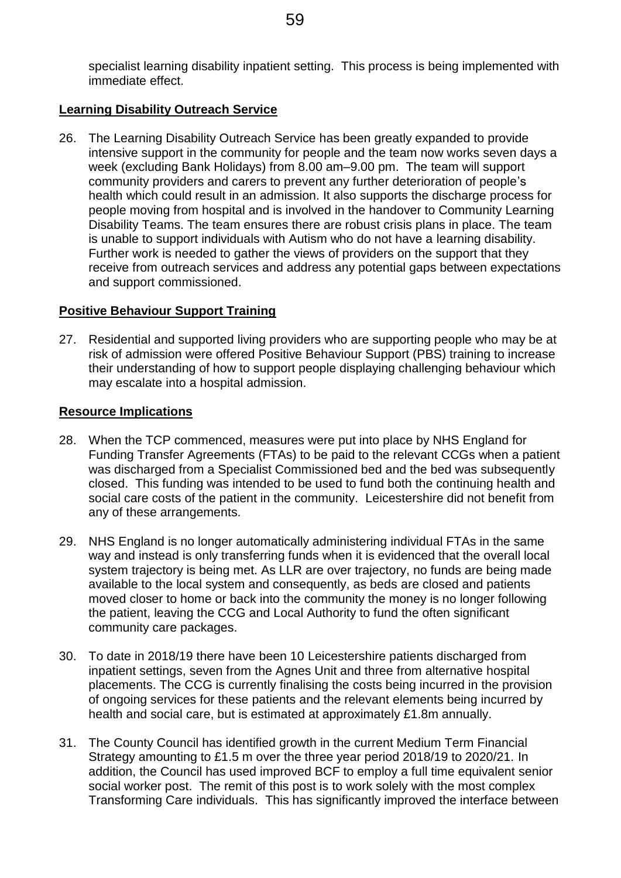specialist learning disability inpatient setting. This process is being implemented with immediate effect.

#### **Learning Disability Outreach Service**

26. The Learning Disability Outreach Service has been greatly expanded to provide intensive support in the community for people and the team now works seven days a week (excluding Bank Holidays) from 8.00 am–9.00 pm. The team will support community providers and carers to prevent any further deterioration of people's health which could result in an admission. It also supports the discharge process for people moving from hospital and is involved in the handover to Community Learning Disability Teams. The team ensures there are robust crisis plans in place. The team is unable to support individuals with Autism who do not have a learning disability. Further work is needed to gather the views of providers on the support that they receive from outreach services and address any potential gaps between expectations and support commissioned.

### **Positive Behaviour Support Training**

27. Residential and supported living providers who are supporting people who may be at risk of admission were offered Positive Behaviour Support (PBS) training to increase their understanding of how to support people displaying challenging behaviour which may escalate into a hospital admission.

#### **Resource Implications**

- 28. When the TCP commenced, measures were put into place by NHS England for Funding Transfer Agreements (FTAs) to be paid to the relevant CCGs when a patient was discharged from a Specialist Commissioned bed and the bed was subsequently closed. This funding was intended to be used to fund both the continuing health and social care costs of the patient in the community. Leicestershire did not benefit from any of these arrangements.
- 29. NHS England is no longer automatically administering individual FTAs in the same way and instead is only transferring funds when it is evidenced that the overall local system trajectory is being met. As LLR are over trajectory, no funds are being made available to the local system and consequently, as beds are closed and patients moved closer to home or back into the community the money is no longer following the patient, leaving the CCG and Local Authority to fund the often significant community care packages.
- 30. To date in 2018/19 there have been 10 Leicestershire patients discharged from inpatient settings, seven from the Agnes Unit and three from alternative hospital placements. The CCG is currently finalising the costs being incurred in the provision of ongoing services for these patients and the relevant elements being incurred by health and social care, but is estimated at approximately £1.8m annually.
- 31. The County Council has identified growth in the current Medium Term Financial Strategy amounting to £1.5 m over the three year period 2018/19 to 2020/21. In addition, the Council has used improved BCF to employ a full time equivalent senior social worker post. The remit of this post is to work solely with the most complex Transforming Care individuals. This has significantly improved the interface between